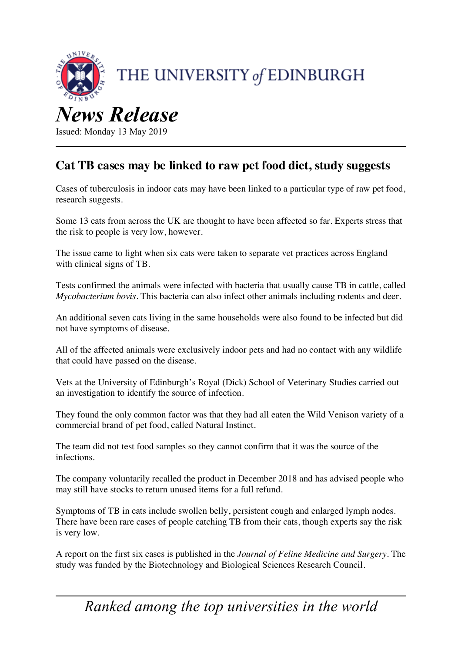

Issued: Monday 13 May 2019

## **Cat TB cases may be linked to raw pet food diet, study suggests**

Cases of tuberculosis in indoor cats may have been linked to a particular type of raw pet food, research suggests.

Some 13 cats from across the UK are thought to have been affected so far. Experts stress that the risk to people is very low, however.

The issue came to light when six cats were taken to separate vet practices across England with clinical signs of TB.

Tests confirmed the animals were infected with bacteria that usually cause TB in cattle, called *Mycobacterium bovis*. This bacteria can also infect other animals including rodents and deer.

An additional seven cats living in the same households were also found to be infected but did not have symptoms of disease.

All of the affected animals were exclusively indoor pets and had no contact with any wildlife that could have passed on the disease.

Vets at the University of Edinburgh's Royal (Dick) School of Veterinary Studies carried out an investigation to identify the source of infection.

They found the only common factor was that they had all eaten the Wild Venison variety of a commercial brand of pet food, called Natural Instinct.

The team did not test food samples so they cannot confirm that it was the source of the infections.

The company voluntarily recalled the product in December 2018 and has advised people who may still have stocks to return unused items for a full refund.

Symptoms of TB in cats include swollen belly, persistent cough and enlarged lymph nodes. There have been rare cases of people catching TB from their cats, though experts say the risk is very low.

A report on the first six cases is published in the *Journal of Feline Medicine and Surgery*. The study was funded by the Biotechnology and Biological Sciences Research Council.

*Ranked among the top universities in the world*